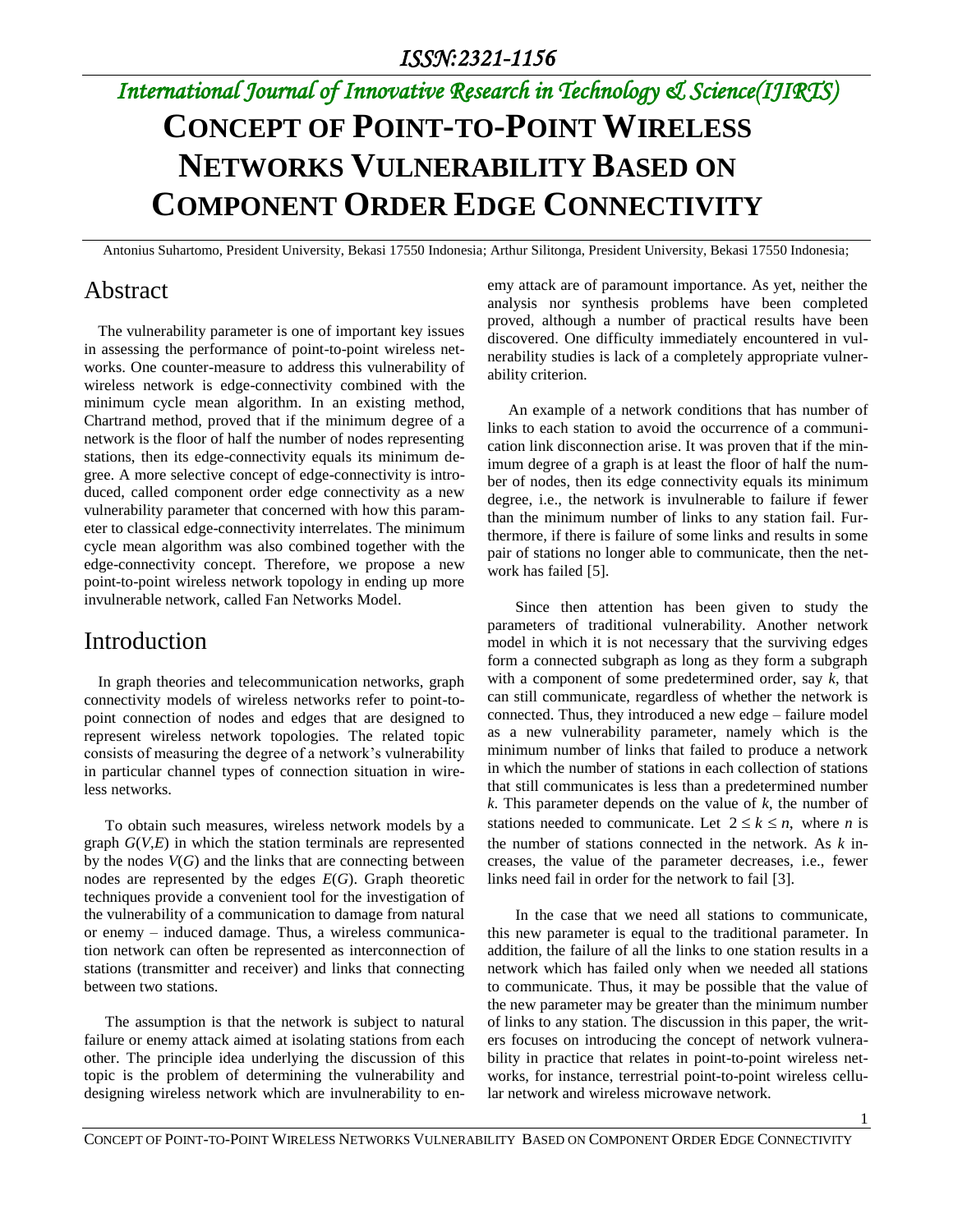## *International Journal of Innovative Research in Technology & Science(IJIRTS)*

# **CONCEPT OF POINT-TO-POINT WIRELESS NETWORKS VULNERABILITY BASED ON COMPONENT ORDER EDGE CONNECTIVITY**

Antonius Suhartomo, President University, Bekasi 17550 Indonesia; Arthur Silitonga, President University, Bekasi 17550 Indonesia;

## Abstract

The vulnerability parameter is one of important key issues in assessing the performance of point-to-point wireless networks. One counter-measure to address this vulnerability of wireless network is edge-connectivity combined with the minimum cycle mean algorithm. In an existing method, Chartrand method, proved that if the minimum degree of a network is the floor of half the number of nodes representing stations, then its edge-connectivity equals its minimum degree. A more selective concept of edge-connectivity is introduced, called component order edge connectivity as a new vulnerability parameter that concerned with how this parameter to classical edge-connectivity interrelates. The minimum cycle mean algorithm was also combined together with the edge-connectivity concept. Therefore, we propose a new point-to-point wireless network topology in ending up more invulnerable network, called Fan Networks Model.

## Introduction

In graph theories and telecommunication networks, graph connectivity models of wireless networks refer to point-topoint connection of nodes and edges that are designed to represent wireless network topologies. The related topic consists of measuring the degree of a network's vulnerability in particular channel types of connection situation in wireless networks.

To obtain such measures, wireless network models by a graph  $G(V,E)$  in which the station terminals are represented by the nodes *V*(*G*) and the links that are connecting between nodes are represented by the edges *E*(*G*). Graph theoretic techniques provide a convenient tool for the investigation of the vulnerability of a communication to damage from natural or enemy – induced damage. Thus, a wireless communication network can often be represented as interconnection of stations (transmitter and receiver) and links that connecting between two stations.

The assumption is that the network is subject to natural failure or enemy attack aimed at isolating stations from each other. The principle idea underlying the discussion of this topic is the problem of determining the vulnerability and designing wireless network which are invulnerability to enemy attack are of paramount importance. As yet, neither the analysis nor synthesis problems have been completed proved, although a number of practical results have been discovered. One difficulty immediately encountered in vulnerability studies is lack of a completely appropriate vulnerability criterion.

An example of a network conditions that has number of links to each station to avoid the occurrence of a communication link disconnection arise. It was proven that if the minimum degree of a graph is at least the floor of half the number of nodes, then its edge connectivity equals its minimum degree, i.e., the network is invulnerable to failure if fewer than the minimum number of links to any station fail. Furthermore, if there is failure of some links and results in some pair of stations no longer able to communicate, then the network has failed [5].

Since then attention has been given to study the parameters of traditional vulnerability. Another network model in which it is not necessary that the surviving edges form a connected subgraph as long as they form a subgraph with a component of some predetermined order, say *k*, that can still communicate, regardless of whether the network is connected. Thus, they introduced a new edge – failure model as a new vulnerability parameter, namely which is the minimum number of links that failed to produce a network in which the number of stations in each collection of stations that still communicates is less than a predetermined number *k*. This parameter depends on the value of *k*, the number of stations needed to communicate. Let  $2 \le k \le n$ , where *n* is the number of stations connected in the network. As *k* increases, the value of the parameter decreases, i.e., fewer links need fail in order for the network to fail [3].

In the case that we need all stations to communicate, this new parameter is equal to the traditional parameter. In addition, the failure of all the links to one station results in a network which has failed only when we needed all stations to communicate. Thus, it may be possible that the value of the new parameter may be greater than the minimum number of links to any station. The discussion in this paper, the writers focuses on introducing the concept of network vulnerability in practice that relates in point-to-point wireless networks, for instance, terrestrial point-to-point wireless cellular network and wireless microwave network.

1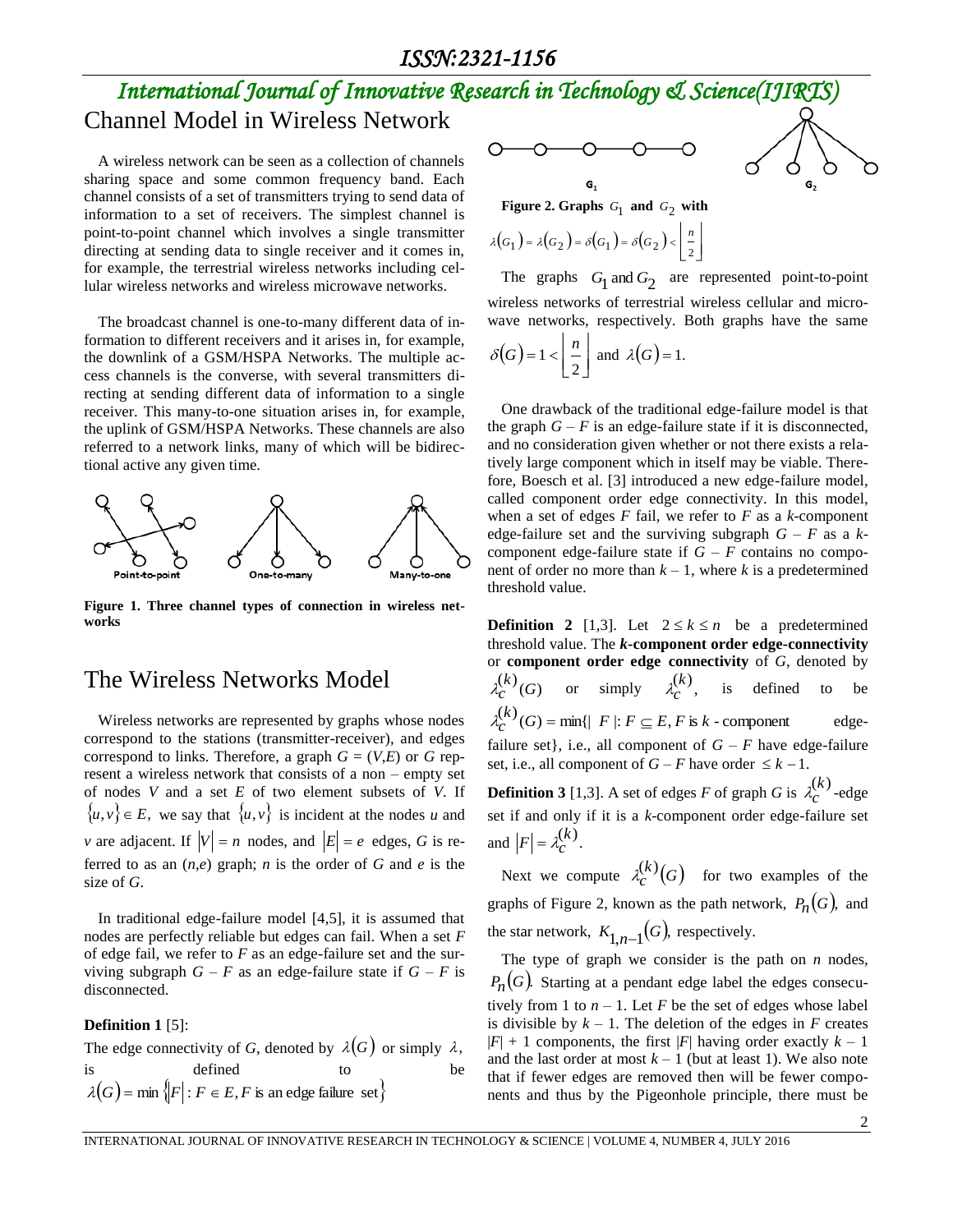#### *ISSN:2321-1156*

## *International Journal of Innovative Research in Technology & Science(IJIRTS)* Channel Model in Wireless Network

A wireless network can be seen as a collection of channels sharing space and some common frequency band. Each channel consists of a set of transmitters trying to send data of information to a set of receivers. The simplest channel is point-to-point channel which involves a single transmitter directing at sending data to single receiver and it comes in, for example, the terrestrial wireless networks including cellular wireless networks and wireless microwave networks.

The broadcast channel is one-to-many different data of information to different receivers and it arises in, for example, the downlink of a GSM/HSPA Networks. The multiple access channels is the converse, with several transmitters directing at sending different data of information to a single receiver. This many-to-one situation arises in, for example, the uplink of GSM/HSPA Networks. These channels are also referred to a network links, many of which will be bidirectional active any given time.



**Figure 1. Three channel types of connection in wireless networks**

### The Wireless Networks Model

Wireless networks are represented by graphs whose nodes correspond to the stations (transmitter-receiver), and edges correspond to links. Therefore, a graph  $G = (V,E)$  or  $G$  represent a wireless network that consists of a non – empty set of nodes *V* and a set *E* of two element subsets of *V*. If  $\{u, v\} \in E$ , we say that  $\{u, v\}$  is incident at the nodes *u* and *v* are adjacent. If  $|V| = n$  nodes, and  $|E| = e$  edges, G is referred to as an  $(n,e)$  graph; *n* is the order of *G* and *e* is the size of *G*.

In traditional edge-failure model [4,5], it is assumed that nodes are perfectly reliable but edges can fail. When a set *F* of edge fail, we refer to *F* as an edge-failure set and the surviving subgraph  $G - F$  as an edge-failure state if  $G - F$  is disconnected.

#### **Definition 1** [5]:

The edge connectivity of *G*, denoted by 
$$
\lambda(G)
$$
 or simply  $\lambda$ ,  
is defined to be  
 $\lambda(G) = \min \{ |F| : F \in E, F \text{ is an edge failure set} \}$ 

$$
\circ\hspace{-0.5mm}\circ\hspace{-0.5mm}\circ\hspace{-0.5mm}\circ\hspace{-0.5mm}\circ
$$

G,

Figure 2. Graphs  $G_1$  and  $G_2$  with

$$
\lambda(G_1) = \lambda(G_2) = \delta(G_1) = \delta(G_2) < \left\lfloor \frac{n}{2} \right\rfloor
$$

The graphs  $G_1$  and  $G_2$  are represented point-to-point wireless networks of terrestrial wireless cellular and microwave networks, respectively. Both graphs have the same

0

G,

$$
\delta(G) = 1 < \left\lfloor \frac{n}{2} \right\rfloor
$$
 and  $\lambda(G) = 1$ .

One drawback of the traditional edge-failure model is that the graph  $G - F$  is an edge-failure state if it is disconnected, and no consideration given whether or not there exists a relatively large component which in itself may be viable. Therefore, Boesch et al. [3] introduced a new edge-failure model, called component order edge connectivity. In this model, when a set of edges *F* fail, we refer to *F* as a *k*-component edge-failure set and the surviving subgraph  $G - F$  as a  $k$ component edge-failure state if  $G - F$  contains no component of order no more than  $k - 1$ , where k is a predetermined threshold value.

**Definition 2** [1,3]. Let  $2 \le k \le n$  be a predetermined threshold value. The *k***-component order edge-connectivity** or **component order edge connectivity** of *G*, denoted by  $_{c}^{(k)}(G)$  $\lambda_c^{(k)}(G)$  or simply  $\lambda_c^{(k)}$ ,  $\lambda_c^{(k)}$ , is defined to be  $\lambda_c^{(k)}(G) = \min\{ |F| : F \subseteq E, F \text{ is } k \text{ - component }$ edgefailure set}, i.e., all component of  $G - F$  have edge-failure set, i.e., all component of  $G - F$  have order  $\leq k - 1$ .

**Definition 3** [1,3]. A set of edges *F* of graph *G* is  $\lambda_c^{(k)}$  $\lambda_c^{(k)}$ -edge set if and only if it is a *k*-component order edge-failure set and  $|F| = \lambda_c^{(k)}$ .

Next we compute  $\lambda_c^{(k)}(G)$ *c*  $\lambda_c^{(k)}(G)$  for two examples of the graphs of Figure 2, known as the path network,  $P_n(G)$ , and the star network,  $K_{1,n-1}(G)$ , respectively.

The type of graph we consider is the path on *n* nodes,  $P_n(G)$ . Starting at a pendant edge label the edges consecutively from 1 to  $n - 1$ . Let *F* be the set of edges whose label is divisible by  $k - 1$ . The deletion of the edges in *F* creates  $|F| + 1$  components, the first  $|F|$  having order exactly  $k - 1$ and the last order at most  $k - 1$  (but at least 1). We also note that if fewer edges are removed then will be fewer components and thus by the Pigeonhole principle, there must be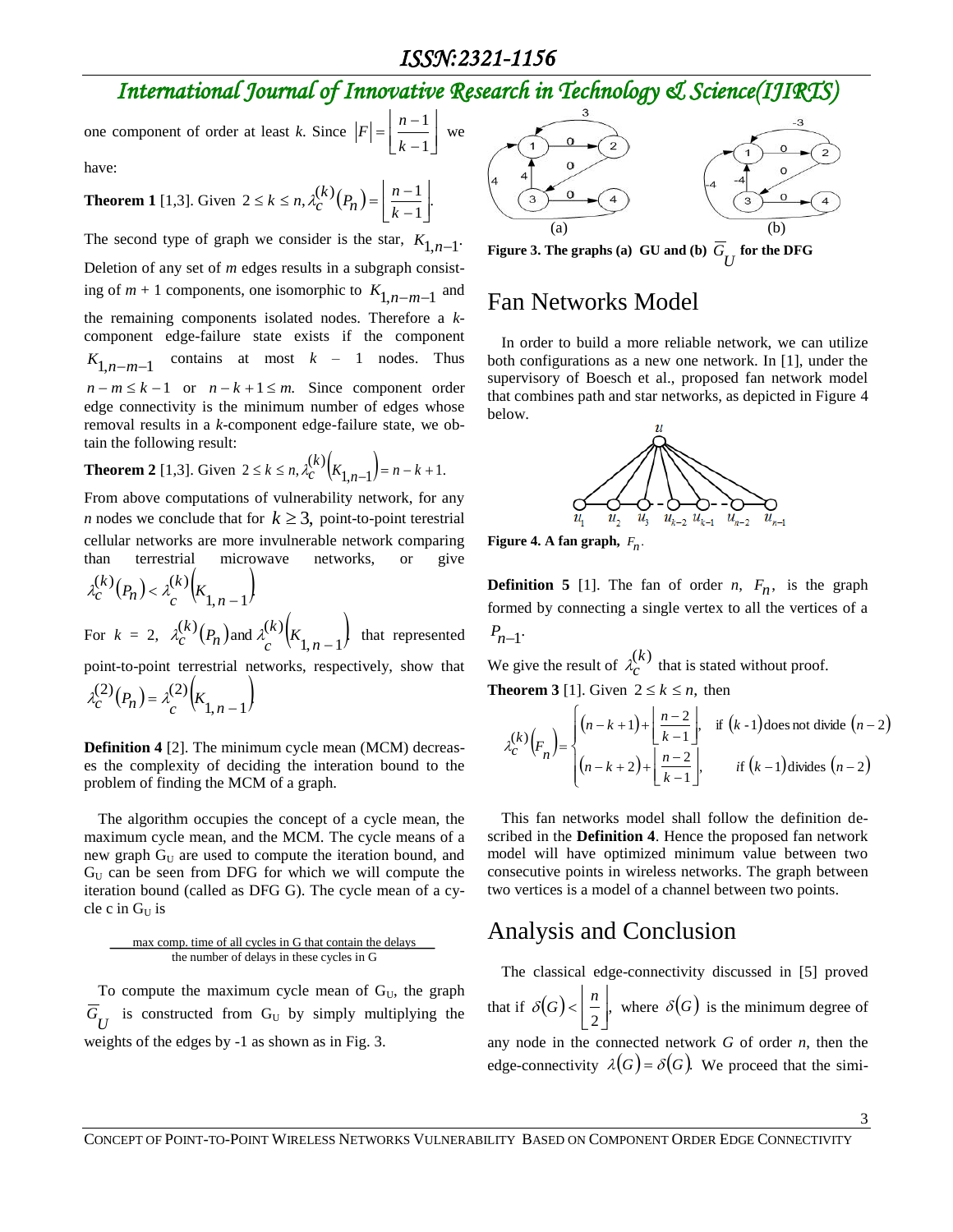### *ISSN:2321-1156*

## *International Journal of Innovative Research in Technology & Science(IJIRTS)*

one component of order at least *k*. Since  $|F| = \left[\frac{n+1}{k-1}\right]$  $\overline{\phantom{a}}$ L  $\overline{a}$  $\overline{a}$  $=\frac{n-1}{n}$ 1 1 *k*  $F = \frac{n-1}{n}$  we

have:

#### **Theorem 1** [1,3]. Given  $2 \le k \le n$ ,  $\lambda_C^{(k)}(P_n) = \left| \frac{n-1}{k-1} \right|$ .  $2 \leq k \leq n, \lambda_C^{(k)}(P_n) = \left\lfloor \frac{n-1}{k-1} \right\rfloor$  $\overline{\phantom{a}}$  $\overline{\mathsf{L}}$ L  $\overline{a}$  $\leq k \leq n, \lambda_c^{(k)}(P_n) = \frac{n}{k-1}$  $\binom{k}{n}$  $\left(P_n\right) = \frac{n}{k}$  $k \leq n, \lambda_C^{(n)}$

The second type of graph we consider is the star,  $K_{1,n-1}$ . Deletion of any set of *m* edges results in a subgraph consisting of  $m + 1$  components, one isomorphic to  $K_{1,n-m-1}$  and the remaining components isolated nodes. Therefore a *k*component edge-failure state exists if the component  $K_{1,n-m-1}$ contains at most *k* – 1 nodes. Thus  $n - m \leq k - 1$  or  $n - k + 1 \leq m$ . Since component order edge connectivity is the minimum number of edges whose removal results in a *k*-component edge-failure state, we obtain the following result:

**Theorem 2** [1,3]. Given 
$$
2 \le k \le n
$$
,  $\lambda_C^{(k)}(K_{1,n-1}) = n - k + 1$ .

From above computations of vulnerability network, for any *n* nodes we conclude that for  $k \geq 3$ , point-to-point terestrial cellular networks are more invulnerable network comparing than terrestrial microwave networks, or give

$$
\lambda_c^{(k)}(P_n) < \lambda_c^{(k)}(K_{1,n-1})
$$

For  $k = 2$ ,  $\lambda_c^{(k)}(P_n)$  and  $\lambda_c^{(k)}(K_{1,n-1})$  $\binom{k}{c}$  $\left(P_n\right)$  and  $\lambda \binom{k}{c}$  $\left(K_{1,n}\right)$  $P_{c}^{(k)}(P_{n})$  and  $\lambda_{c}^{(k)}$  $\lambda_c^{(k)}(P_n)$  and  $\lambda_c^{(k)}(K_{1,n-1})$  that represented

point-to-point terrestrial networks, respectively, show that

 $(P_n) = \lambda_c^{(2)} \left( K_{1,n-1} \right)$  $(2)_{\binom{n}{2}}$   $(2)$  $\lambda_c^{(2)}(P_n) = \lambda_c^{(2)}(K_{1,n-1})$ 

**Definition 4** [2]. The minimum cycle mean (MCM) decreases the complexity of deciding the interation bound to the problem of finding the MCM of a graph.

The algorithm occupies the concept of a cycle mean, the maximum cycle mean, and the MCM. The cycle means of a new graph  $G_U$  are used to compute the iteration bound, and  $G_U$  can be seen from DFG for which we will compute the iteration bound (called as DFG G). The cycle mean of a cycle c in  $G_U$  is

#### max comp. time of all cycles in G that contain the delays the number of delays in these cycles in G

To compute the maximum cycle mean of  $G_U$ , the graph  $G_U$  is constructed from  $G_U$  by simply multiplying the weights of the edges by -1 as shown as in Fig. 3.



**Figure 3. The graphs (a) GU and (b)**  $G_U$  **for the DFG** 

## Fan Networks Model

In order to build a more reliable network, we can utilize both configurations as a new one network. In [1], under the supervisory of Boesch et al., proposed fan network model that combines path and star networks, as depicted in Figure 4 below.



**Figure 4.** A fan graph,  $F_n$ .

**Definition 5** [1]. The fan of order *n*,  $F_n$ , is the graph formed by connecting a single vertex to all the vertices of a  $P_{n-1}$ .

We give the result of  $\lambda_c^{(k)}$  $\lambda_c^{(k)}$  that is stated without proof. **Theorem 3** [1]. Given  $2 \leq k \leq n$ , then

$$
\lambda_c^{(k)}(F_n) = \begin{cases} (n-k+1) + \left\lfloor \frac{n-2}{k-1} \right\rfloor, & \text{if } (k-1) \text{ does not divide } (n-2) \\ (n-k+2) + \left\lfloor \frac{n-2}{k-1} \right\rfloor, & \text{if } (k-1) \text{ divides } (n-2) \end{cases}
$$

This fan networks model shall follow the definition described in the **Definition 4**. Hence the proposed fan network model will have optimized minimum value between two consecutive points in wireless networks. The graph between two vertices is a model of a channel between two points.

## Analysis and Conclusion

The classical edge-connectivity discussed in [5] proved that if  $|\delta(G)| < \frac{n}{n}$ ,  $\frac{1}{2}$  $\overline{\phantom{a}}$ L  $\delta(G)$  <  $\left| \frac{n}{m} \right|$ , where  $\delta(G)$  is the minimum degree of any node in the connected network *G* of order *n*, then the edge-connectivity  $\lambda(G) = \delta(G)$ . We proceed that the simi-